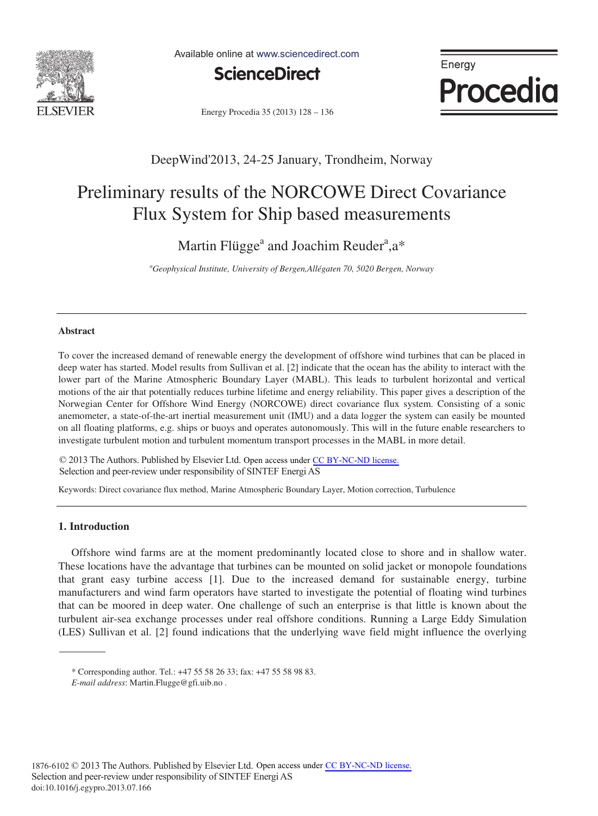

Available online at www.sciencedirect.com



Energy **Procedia** 

Energy Procedia 35 (2013) 128 - 136

# DeepWind'2013, 24-25 January, Trondheim, Norway

# Preliminary results of the NORCOWE Direct Covariance Flux System for Ship based measurements

Martin Flügge<sup>a</sup> and Joachim Reuder<sup>a</sup>, a\*

*a Geophysical Institute, University of Bergen,Allégaten 70, 5020 Bergen, Norway* 

# **Abstract**

To cover the increased demand of renewable energy the development of offshore wind turbines that can be placed in deep water has started. Model results from Sullivan et al. [2] indicate that the ocean has the ability to interact with the lower part of the Marine Atmospheric Boundary Layer (MABL). This leads to turbulent horizontal and vertical motions of the air that potentially reduces turbine lifetime and energy reliability. This paper gives a description of the Norwegian Center for Offshore Wind Energy (NORCOWE) direct covariance flux system. Consisting of a sonic anemometer, a state-of-the-art inertial measurement unit (IMU) and a data logger the system can easily be mounted on all floating platforms, e.g. ships or buoys and operates autonomously. This will in the future enable researchers to investigate turbulent motion and turbulent momentum transport processes in the MABL in more detail.

© 2013 The Authors. Published by Elsevier Ltd. Open access under [CC BY-NC-ND license.](http://creativecommons.org/licenses/by-nc-nd/3.0/)<br>Selection and near review under responsibility of SINTEE Energi AS Selection and peer-review under responsibility of SINTEF Energi AS

Keywords: Direct covariance flux method, Marine Atmospheric Boundary Layer, Motion correction, Turbulence

# **1. Introduction**

Offshore wind farms are at the moment predominantly located close to shore and in shallow water. These locations have the advantage that turbines can be mounted on solid jacket or monopole foundations that grant easy turbine access [1]. Due to the increased demand for sustainable energy, turbine manufacturers and wind farm operators have started to investigate the potential of floating wind turbines that can be moored in deep water. One challenge of such an enterprise is that little is known about the turbulent air-sea exchange processes under real offshore conditions. Running a Large Eddy Simulation (LES) Sullivan et al. [2] found indications that the underlying wave field might influence the overlying

<sup>\*</sup> Corresponding author. Tel.: +47 55 58 26 33; fax: +47 55 58 98 83.

*E-mail address*: Martin.Flugge@gfi.uib.no .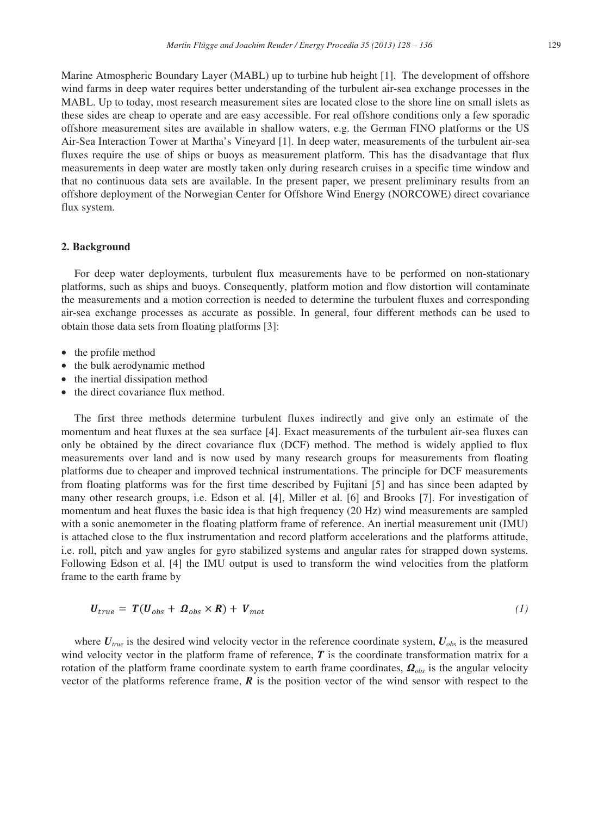Marine Atmospheric Boundary Layer (MABL) up to turbine hub height [1]. The development of offshore wind farms in deep water requires better understanding of the turbulent air-sea exchange processes in the MABL. Up to today, most research measurement sites are located close to the shore line on small islets as these sides are cheap to operate and are easy accessible. For real offshore conditions only a few sporadic offshore measurement sites are available in shallow waters, e.g. the German FINO platforms or the US Air-Sea Interaction Tower at Martha's Vineyard [1]. In deep water, measurements of the turbulent air-sea fluxes require the use of ships or buoys as measurement platform. This has the disadvantage that flux measurements in deep water are mostly taken only during research cruises in a specific time window and that no continuous data sets are available. In the present paper, we present preliminary results from an offshore deployment of the Norwegian Center for Offshore Wind Energy (NORCOWE) direct covariance flux system.

#### **2. Background**

For deep water deployments, turbulent flux measurements have to be performed on non-stationary platforms, such as ships and buoys. Consequently, platform motion and flow distortion will contaminate the measurements and a motion correction is needed to determine the turbulent fluxes and corresponding air-sea exchange processes as accurate as possible. In general, four different methods can be used to obtain those data sets from floating platforms [3]:

- the profile method
- the bulk aerodynamic method
- the inertial dissipation method
- the direct covariance flux method.

The first three methods determine turbulent fluxes indirectly and give only an estimate of the momentum and heat fluxes at the sea surface [4]. Exact measurements of the turbulent air-sea fluxes can only be obtained by the direct covariance flux (DCF) method. The method is widely applied to flux measurements over land and is now used by many research groups for measurements from floating platforms due to cheaper and improved technical instrumentations. The principle for DCF measurements from floating platforms was for the first time described by Fujitani [5] and has since been adapted by many other research groups, i.e. Edson et al. [4], Miller et al. [6] and Brooks [7]. For investigation of momentum and heat fluxes the basic idea is that high frequency (20 Hz) wind measurements are sampled with a sonic anemometer in the floating platform frame of reference. An inertial measurement unit (IMU) is attached close to the flux instrumentation and record platform accelerations and the platforms attitude, i.e. roll, pitch and yaw angles for gyro stabilized systems and angular rates for strapped down systems. Following Edson et al. [4] the IMU output is used to transform the wind velocities from the platform frame to the earth frame by

$$
U_{true} = T(U_{obs} + \Omega_{obs} \times R) + V_{mot}
$$
 (1)

where  $U_{true}$  is the desired wind velocity vector in the reference coordinate system,  $U_{obs}$  is the measured wind velocity vector in the platform frame of reference, T is the coordinate transformation matrix for a rotation of the platform frame coordinate system to earth frame coordinates,  $\mathbf{Q}_{obs}$  is the angular velocity vector of the platforms reference frame,  $\vec{R}$  is the position vector of the wind sensor with respect to the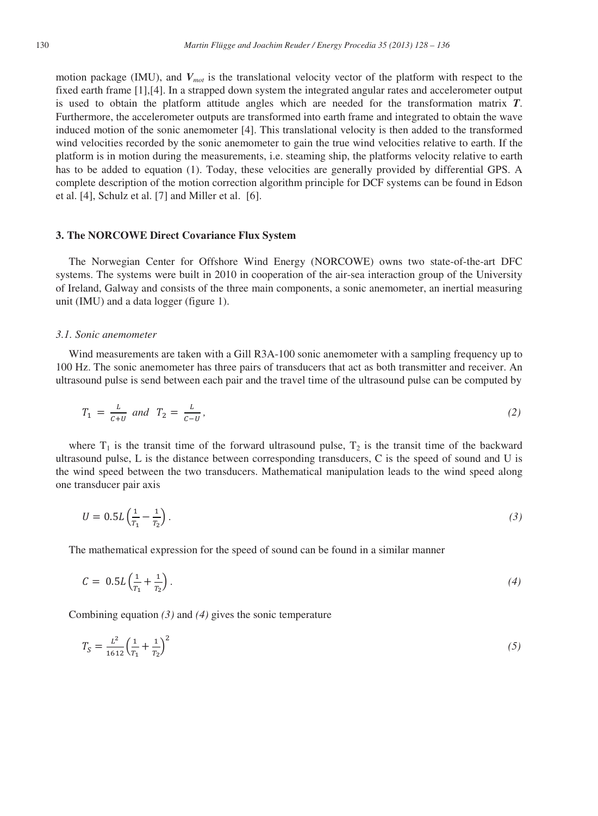motion package (IMU), and *Vmot* is the translational velocity vector of the platform with respect to the fixed earth frame [1],[4]. In a strapped down system the integrated angular rates and accelerometer output is used to obtain the platform attitude angles which are needed for the transformation matrix *T*. Furthermore, the accelerometer outputs are transformed into earth frame and integrated to obtain the wave induced motion of the sonic anemometer [4]. This translational velocity is then added to the transformed wind velocities recorded by the sonic anemometer to gain the true wind velocities relative to earth. If the platform is in motion during the measurements, i.e. steaming ship, the platforms velocity relative to earth has to be added to equation (1). Today, these velocities are generally provided by differential GPS. A complete description of the motion correction algorithm principle for DCF systems can be found in Edson et al. [4], Schulz et al. [7] and Miller et al. [6].

#### **3. The NORCOWE Direct Covariance Flux System**

The Norwegian Center for Offshore Wind Energy (NORCOWE) owns two state-of-the-art DFC systems. The systems were built in 2010 in cooperation of the air-sea interaction group of the University of Ireland, Galway and consists of the three main components, a sonic anemometer, an inertial measuring unit (IMU) and a data logger (figure 1).

#### *3.1. Sonic anemometer*

Wind measurements are taken with a Gill R3A-100 sonic anemometer with a sampling frequency up to 100 Hz. The sonic anemometer has three pairs of transducers that act as both transmitter and receiver. An ultrasound pulse is send between each pair and the travel time of the ultrasound pulse can be computed by

$$
T_1 = \frac{L}{c+U} \text{ and } T_2 = \frac{L}{c-U}, \tag{2}
$$

where  $T_1$  is the transit time of the forward ultrasound pulse,  $T_2$  is the transit time of the backward ultrasound pulse, L is the distance between corresponding transducers, C is the speed of sound and U is the wind speed between the two transducers. Mathematical manipulation leads to the wind speed along one transducer pair axis

$$
U = 0.5L\left(\frac{1}{T_1} - \frac{1}{T_2}\right). \tag{3}
$$

The mathematical expression for the speed of sound can be found in a similar manner

$$
C = 0.5L\left(\frac{1}{T_1} + \frac{1}{T_2}\right). \tag{4}
$$

Combining equation *(3)* and *(4)* gives the sonic temperature

$$
T_S = \frac{L^2}{1612} \left(\frac{1}{T_1} + \frac{1}{T_2}\right)^2\tag{5}
$$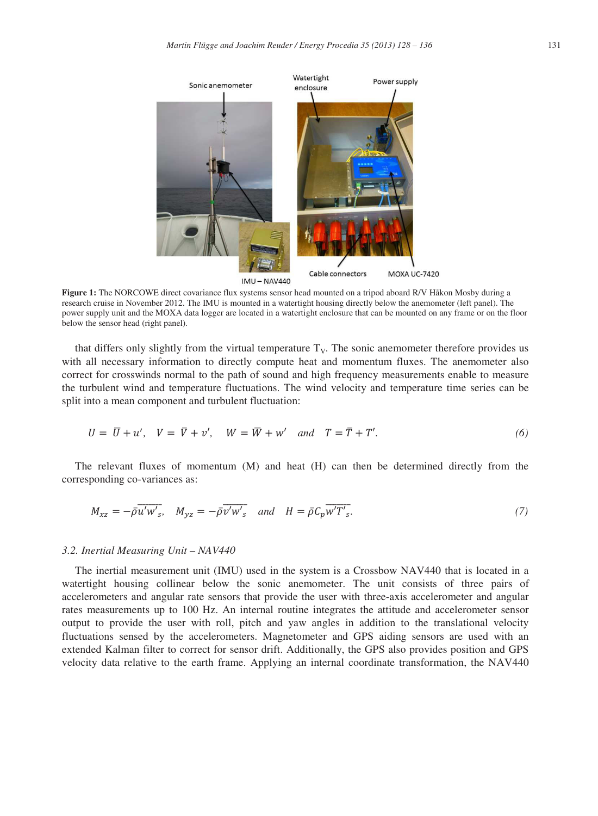

**Figure 1:** The NORCOWE direct covariance flux systems sensor head mounted on a tripod aboard R/V Håkon Mosby during a research cruise in November 2012. The IMU is mounted in a watertight housing directly below the anemometer (left panel). The power supply unit and the MOXA data logger are located in a watertight enclosure that can be mounted on any frame or on the floor below the sensor head (right panel).

that differs only slightly from the virtual temperature  $T<sub>V</sub>$ . The sonic anemometer therefore provides us with all necessary information to directly compute heat and momentum fluxes. The anemometer also correct for crosswinds normal to the path of sound and high frequency measurements enable to measure the turbulent wind and temperature fluctuations. The wind velocity and temperature time series can be split into a mean component and turbulent fluctuation:

$$
U = \overline{U} + u', \quad V = \overline{V} + v', \quad W = \overline{W} + w' \quad and \quad T = \overline{T} + T'.
$$
 (6)

The relevant fluxes of momentum (M) and heat (H) can then be determined directly from the corresponding co-variances as:

$$
M_{xz} = -\bar{\rho} \overline{u'w'}_s, \quad M_{yz} = -\bar{\rho} \overline{v'w'}_s \quad and \quad H = \bar{\rho} C_p \overline{w'T'}_s. \tag{7}
$$

# *3.2. Inertial Measuring Unit – NAV440*

The inertial measurement unit (IMU) used in the system is a Crossbow NAV440 that is located in a watertight housing collinear below the sonic anemometer. The unit consists of three pairs of accelerometers and angular rate sensors that provide the user with three-axis accelerometer and angular rates measurements up to 100 Hz. An internal routine integrates the attitude and accelerometer sensor output to provide the user with roll, pitch and yaw angles in addition to the translational velocity fluctuations sensed by the accelerometers. Magnetometer and GPS aiding sensors are used with an extended Kalman filter to correct for sensor drift. Additionally, the GPS also provides position and GPS velocity data relative to the earth frame. Applying an internal coordinate transformation, the NAV440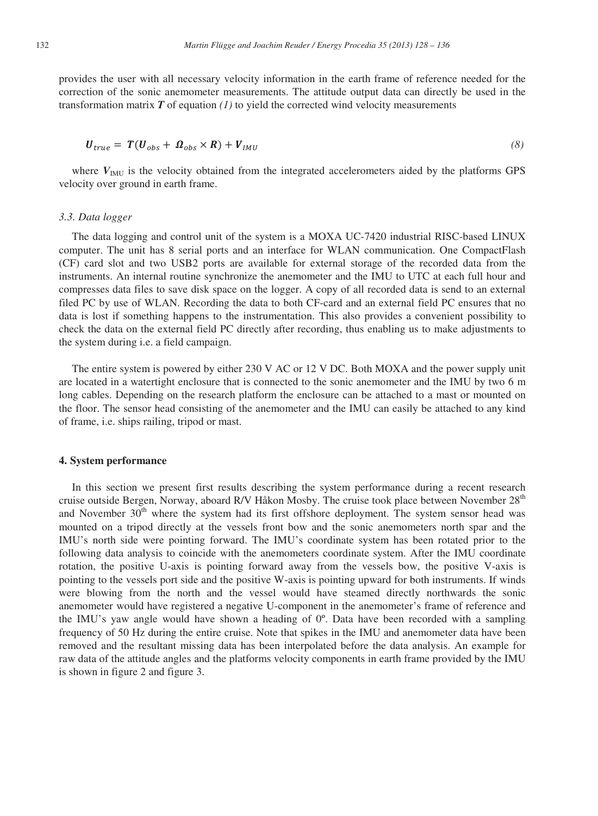provides the user with all necessary velocity information in the earth frame of reference needed for the correction of the sonic anemometer measurements. The attitude output data can directly be used in the transformation matrix  $\boldsymbol{T}$  of equation *(1)* to yield the corrected wind velocity measurements

$$
U_{true} = T(U_{obs} + \Omega_{obs} \times R) + V_{IMU}
$$
\n(8)

where  $V_{\text{IMU}}$  is the velocity obtained from the integrated accelerometers aided by the platforms GPS velocity over ground in earth frame.

#### *3.3. Data logger*

The data logging and control unit of the system is a MOXA UC-7420 industrial RISC-based LINUX computer. The unit has 8 serial ports and an interface for WLAN communication. One CompactFlash (CF) card slot and two USB2 ports are available for external storage of the recorded data from the instruments. An internal routine synchronize the anemometer and the IMU to UTC at each full hour and compresses data files to save disk space on the logger. A copy of all recorded data is send to an external filed PC by use of WLAN. Recording the data to both CF-card and an external field PC ensures that no data is lost if something happens to the instrumentation. This also provides a convenient possibility to check the data on the external field PC directly after recording, thus enabling us to make adjustments to the system during i.e. a field campaign.

The entire system is powered by either 230 V AC or 12 V DC. Both MOXA and the power supply unit are located in a watertight enclosure that is connected to the sonic anemometer and the IMU by two 6 m long cables. Depending on the research platform the enclosure can be attached to a mast or mounted on the floor. The sensor head consisting of the anemometer and the IMU can easily be attached to any kind of frame, i.e. ships railing, tripod or mast.

#### **4. System performance**

In this section we present first results describing the system performance during a recent research cruise outside Bergen, Norway, aboard R/V Håkon Mosby. The cruise took place between November 28<sup>th</sup> and November  $30<sup>th</sup>$  where the system had its first offshore deployment. The system sensor head was mounted on a tripod directly at the vessels front bow and the sonic anemometers north spar and the IMU's north side were pointing forward. The IMU's coordinate system has been rotated prior to the following data analysis to coincide with the anemometers coordinate system. After the IMU coordinate rotation, the positive U-axis is pointing forward away from the vessels bow, the positive V-axis is pointing to the vessels port side and the positive W-axis is pointing upward for both instruments. If winds were blowing from the north and the vessel would have steamed directly northwards the sonic anemometer would have registered a negative U-component in the anemometer's frame of reference and the IMU's yaw angle would have shown a heading of 0º. Data have been recorded with a sampling frequency of 50 Hz during the entire cruise. Note that spikes in the IMU and anemometer data have been removed and the resultant missing data has been interpolated before the data analysis. An example for raw data of the attitude angles and the platforms velocity components in earth frame provided by the IMU is shown in figure 2 and figure 3.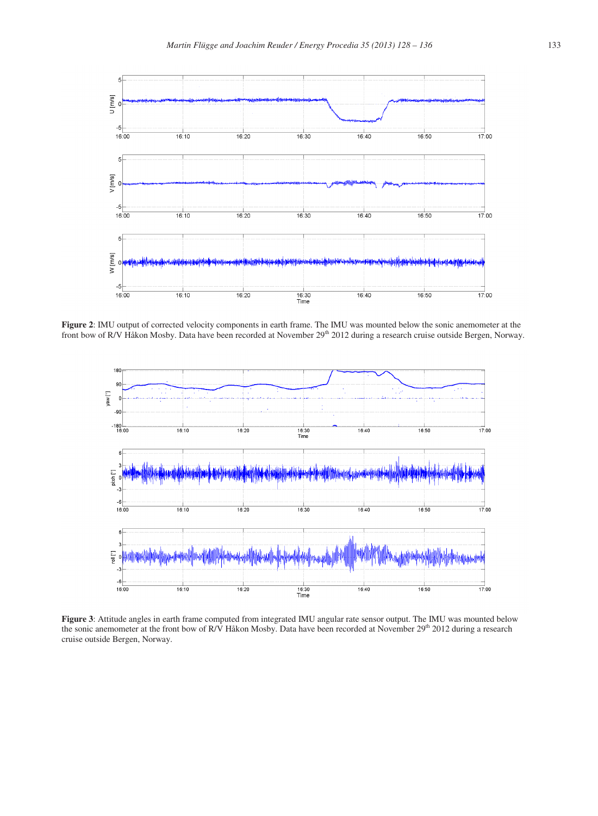

**Figure 2**: IMU output of corrected velocity components in earth frame. The IMU was mounted below the sonic anemometer at the front bow of R/V Håkon Mosby. Data have been recorded at November  $29<sup>th</sup> 2012$  during a research cruise outside Bergen, Norway.



**Figure 3**: Attitude angles in earth frame computed from integrated IMU angular rate sensor output. The IMU was mounted below the sonic anemometer at the front bow of R/V Håkon Mosby. Data have been recorded at November 29<sup>th</sup> 2012 during a research cruise outside Bergen, Norway.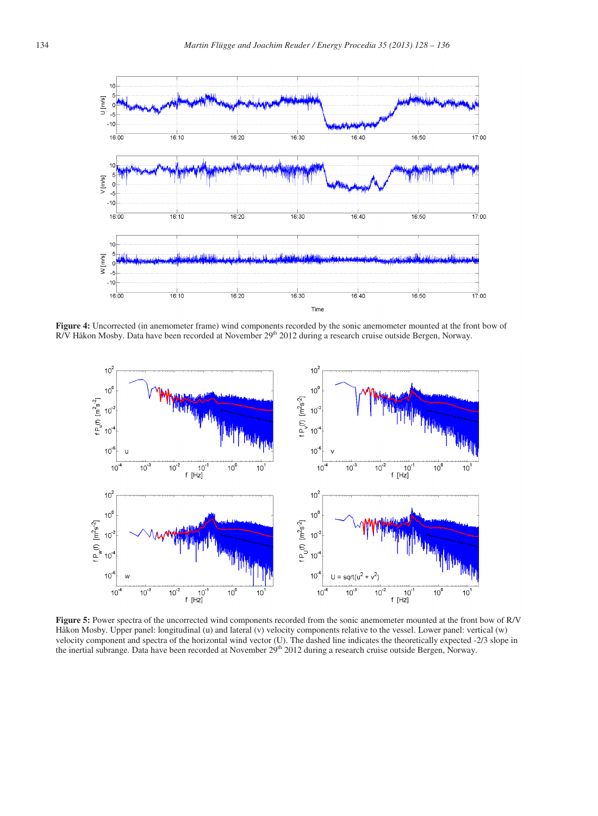

**Figure 4:** Uncorrected (in anemometer frame) wind components recorded by the sonic anemometer mounted at the front bow of R/V Håkon Mosby. Data have been recorded at November 29<sup>th</sup> 2012 during a research cruise outside Bergen, Norway.



**Figure 5:** Power spectra of the uncorrected wind components recorded from the sonic anemometer mounted at the front bow of R/V Håkon Mosby. Upper panel: longitudinal (u) and lateral (v) velocity components relative to the vessel. Lower panel: vertical (w) velocity component and spectra of the horizontal wind vector (U). The dashed line indicates the theoretically expected -2/3 slope in the inertial subrange. Data have been recorded at November 29<sup>th</sup> 2012 during a research cruise outside Bergen, Norway.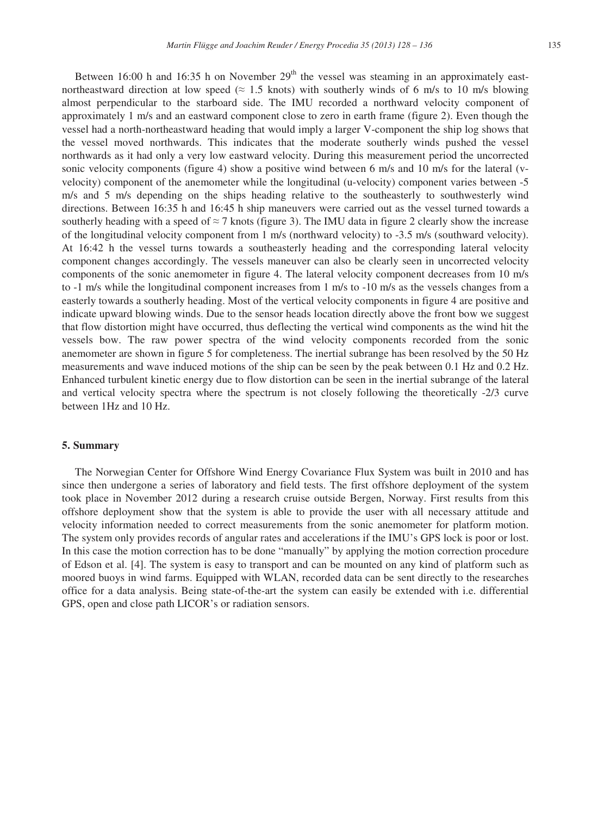Between 16:00 h and 16:35 h on November  $29<sup>th</sup>$  the vessel was steaming in an approximately eastnortheastward direction at low speed ( $\approx$  1.5 knots) with southerly winds of 6 m/s to 10 m/s blowing almost perpendicular to the starboard side. The IMU recorded a northward velocity component of approximately 1 m/s and an eastward component close to zero in earth frame (figure 2). Even though the vessel had a north-northeastward heading that would imply a larger V-component the ship log shows that the vessel moved northwards. This indicates that the moderate southerly winds pushed the vessel northwards as it had only a very low eastward velocity. During this measurement period the uncorrected sonic velocity components (figure 4) show a positive wind between 6 m/s and 10 m/s for the lateral (vvelocity) component of the anemometer while the longitudinal (u-velocity) component varies between -5 m/s and 5 m/s depending on the ships heading relative to the southeasterly to southwesterly wind directions. Between 16:35 h and 16:45 h ship maneuvers were carried out as the vessel turned towards a southerly heading with a speed of  $\approx$  7 knots (figure 3). The IMU data in figure 2 clearly show the increase of the longitudinal velocity component from 1 m/s (northward velocity) to -3.5 m/s (southward velocity). At 16:42 h the vessel turns towards a southeasterly heading and the corresponding lateral velocity component changes accordingly. The vessels maneuver can also be clearly seen in uncorrected velocity components of the sonic anemometer in figure 4. The lateral velocity component decreases from 10 m/s to -1 m/s while the longitudinal component increases from 1 m/s to -10 m/s as the vessels changes from a easterly towards a southerly heading. Most of the vertical velocity components in figure 4 are positive and indicate upward blowing winds. Due to the sensor heads location directly above the front bow we suggest that flow distortion might have occurred, thus deflecting the vertical wind components as the wind hit the vessels bow. The raw power spectra of the wind velocity components recorded from the sonic anemometer are shown in figure 5 for completeness. The inertial subrange has been resolved by the 50 Hz measurements and wave induced motions of the ship can be seen by the peak between 0.1 Hz and 0.2 Hz. Enhanced turbulent kinetic energy due to flow distortion can be seen in the inertial subrange of the lateral and vertical velocity spectra where the spectrum is not closely following the theoretically -2/3 curve between 1Hz and 10 Hz.

## **5. Summary**

The Norwegian Center for Offshore Wind Energy Covariance Flux System was built in 2010 and has since then undergone a series of laboratory and field tests. The first offshore deployment of the system took place in November 2012 during a research cruise outside Bergen, Norway. First results from this offshore deployment show that the system is able to provide the user with all necessary attitude and velocity information needed to correct measurements from the sonic anemometer for platform motion. The system only provides records of angular rates and accelerations if the IMU's GPS lock is poor or lost. In this case the motion correction has to be done "manually" by applying the motion correction procedure of Edson et al. [4]. The system is easy to transport and can be mounted on any kind of platform such as moored buoys in wind farms. Equipped with WLAN, recorded data can be sent directly to the researches office for a data analysis. Being state-of-the-art the system can easily be extended with i.e. differential GPS, open and close path LICOR's or radiation sensors.